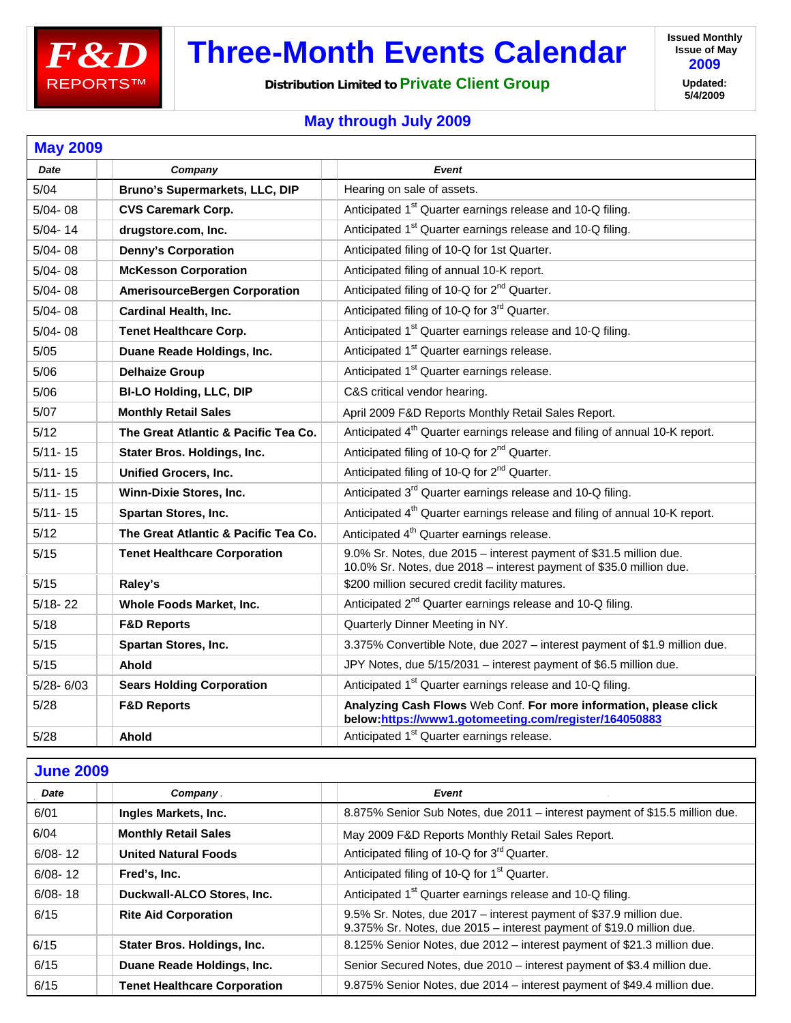

## **Three-Month Events Calendar**

**Distribution Limited to Private Client Group**

**Issued Monthly Issue of May 2009 Updated: 5/4/2009**

## **May through July 2009**

| <b>May 2009</b> |                                      |                                                                                                                                           |
|-----------------|--------------------------------------|-------------------------------------------------------------------------------------------------------------------------------------------|
| <b>Date</b>     | Company                              | Event                                                                                                                                     |
| 5/04            | Bruno's Supermarkets, LLC, DIP       | Hearing on sale of assets.                                                                                                                |
| $5/04 - 08$     | <b>CVS Caremark Corp.</b>            | Anticipated 1 <sup>st</sup> Quarter earnings release and 10-Q filing.                                                                     |
| $5/04 - 14$     | drugstore.com, Inc.                  | Anticipated 1 <sup>st</sup> Quarter earnings release and 10-Q filing.                                                                     |
| $5/04 - 08$     | <b>Denny's Corporation</b>           | Anticipated filing of 10-Q for 1st Quarter.                                                                                               |
| $5/04 - 08$     | <b>McKesson Corporation</b>          | Anticipated filing of annual 10-K report.                                                                                                 |
| $5/04 - 08$     | <b>AmerisourceBergen Corporation</b> | Anticipated filing of 10-Q for 2 <sup>nd</sup> Quarter.                                                                                   |
| $5/04 - 08$     | <b>Cardinal Health, Inc.</b>         | Anticipated filing of 10-Q for 3 <sup>rd</sup> Quarter.                                                                                   |
| $5/04 - 08$     | <b>Tenet Healthcare Corp.</b>        | Anticipated 1 <sup>st</sup> Quarter earnings release and 10-Q filing.                                                                     |
| 5/05            | Duane Reade Holdings, Inc.           | Anticipated 1 <sup>st</sup> Quarter earnings release.                                                                                     |
| 5/06            | <b>Delhaize Group</b>                | Anticipated 1 <sup>st</sup> Quarter earnings release.                                                                                     |
| 5/06            | <b>BI-LO Holding, LLC, DIP</b>       | C&S critical vendor hearing.                                                                                                              |
| 5/07            | <b>Monthly Retail Sales</b>          | April 2009 F&D Reports Monthly Retail Sales Report.                                                                                       |
| 5/12            | The Great Atlantic & Pacific Tea Co. | Anticipated 4 <sup>th</sup> Quarter earnings release and filing of annual 10-K report.                                                    |
| $5/11 - 15$     | Stater Bros. Holdings, Inc.          | Anticipated filing of 10-Q for 2 <sup>nd</sup> Quarter.                                                                                   |
| $5/11 - 15$     | <b>Unified Grocers, Inc.</b>         | Anticipated filing of 10-Q for 2 <sup>nd</sup> Quarter.                                                                                   |
| $5/11 - 15$     | <b>Winn-Dixie Stores, Inc.</b>       | Anticipated 3 <sup>rd</sup> Quarter earnings release and 10-Q filing.                                                                     |
| $5/11 - 15$     | Spartan Stores, Inc.                 | Anticipated 4 <sup>th</sup> Quarter earnings release and filing of annual 10-K report.                                                    |
| 5/12            | The Great Atlantic & Pacific Tea Co. | Anticipated 4 <sup>th</sup> Quarter earnings release.                                                                                     |
| 5/15            | <b>Tenet Healthcare Corporation</b>  | 9.0% Sr. Notes, due 2015 - interest payment of \$31.5 million due.<br>10.0% Sr. Notes, due 2018 - interest payment of \$35.0 million due. |
| 5/15            | Raley's                              | \$200 million secured credit facility matures.                                                                                            |
| $5/18 - 22$     | Whole Foods Market, Inc.             | Anticipated 2 <sup>nd</sup> Quarter earnings release and 10-Q filing.                                                                     |
| 5/18            | <b>F&amp;D Reports</b>               | Quarterly Dinner Meeting in NY.                                                                                                           |
| 5/15            | Spartan Stores, Inc.                 | 3.375% Convertible Note, due 2027 - interest payment of \$1.9 million due.                                                                |
| 5/15            | Ahold                                | JPY Notes, due 5/15/2031 - interest payment of \$6.5 million due.                                                                         |
| $5/28 - 6/03$   | <b>Sears Holding Corporation</b>     | Anticipated 1 <sup>st</sup> Quarter earnings release and 10-Q filing.                                                                     |
| 5/28            | <b>F&amp;D Reports</b>               | Analyzing Cash Flows Web Conf. For more information, please click<br>below:https://www1.gotomeeting.com/register/164050883                |
| 5/28            | Ahold                                | Anticipated 1 <sup>st</sup> Quarter earnings release.                                                                                     |

| <b>June 2009</b> |                                     |                                                                                                                                            |  |  |
|------------------|-------------------------------------|--------------------------------------------------------------------------------------------------------------------------------------------|--|--|
| Date             | Company,                            | Event                                                                                                                                      |  |  |
| 6/01             | Ingles Markets, Inc.                | 8.875% Senior Sub Notes, due 2011 - interest payment of \$15.5 million due.                                                                |  |  |
| 6/04             | <b>Monthly Retail Sales</b>         | May 2009 F&D Reports Monthly Retail Sales Report.                                                                                          |  |  |
| $6/08 - 12$      | <b>United Natural Foods</b>         | Anticipated filing of 10-Q for 3 <sup>rd</sup> Quarter.                                                                                    |  |  |
| $6/08 - 12$      | Fred's, Inc.                        | Anticipated filing of 10-Q for 1 <sup>st</sup> Quarter.                                                                                    |  |  |
| $6/08 - 18$      | Duckwall-ALCO Stores, Inc.          | Anticipated 1 <sup>st</sup> Quarter earnings release and 10-Q filing.                                                                      |  |  |
| 6/15             | <b>Rite Aid Corporation</b>         | 9.5% Sr. Notes, due 2017 - interest payment of \$37.9 million due.<br>9.375% Sr. Notes, due 2015 - interest payment of \$19.0 million due. |  |  |
| 6/15             | Stater Bros. Holdings, Inc.         | 8.125% Senior Notes, due 2012 – interest payment of \$21.3 million due.                                                                    |  |  |
| 6/15             | Duane Reade Holdings, Inc.          | Senior Secured Notes, due 2010 - interest payment of \$3.4 million due.                                                                    |  |  |
| 6/15             | <b>Tenet Healthcare Corporation</b> | 9.875% Senior Notes, due 2014 – interest payment of \$49.4 million due.                                                                    |  |  |